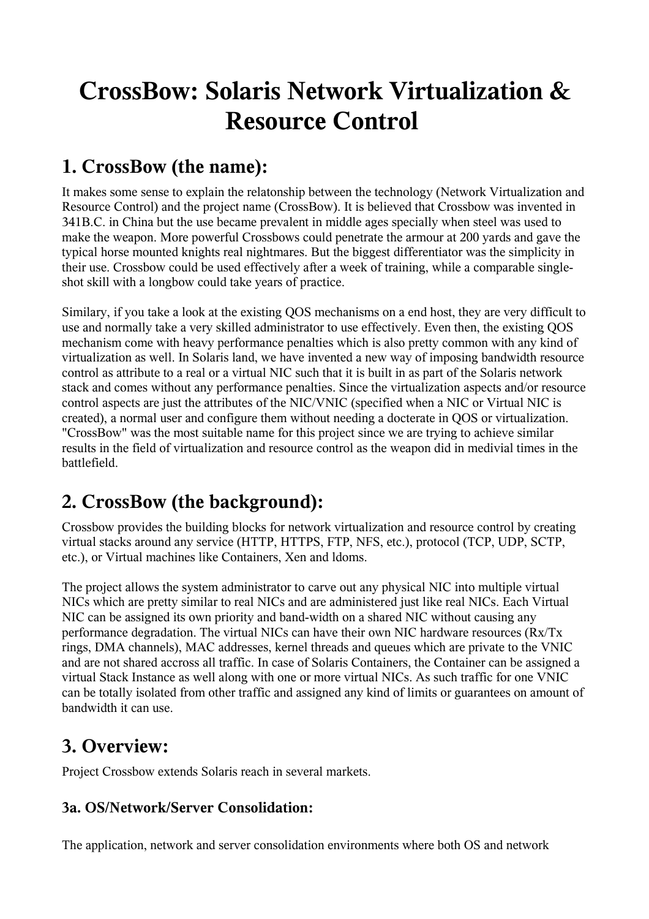# **CrossBow: Solaris Network Virtualization & Resource Control**

# **1. CrossBow (the name):**

It makes some sense to explain the relatonship between the technology (Network Virtualization and Resource Control) and the project name (CrossBow). It is believed that Crossbow was invented in 341B.C. in China but the use became prevalent in middle ages specially when steel was used to make the weapon. More powerful Crossbows could penetrate the armour at 200 yards and gave the typical horse mounted knights real nightmares. But the biggest differentiator was the simplicity in their use. Crossbow could be used effectively after a week of training, while a comparable singleshot skill with a longbow could take years of practice.

Similary, if you take a look at the existing QOS mechanisms on a end host, they are very difficult to use and normally take a very skilled administrator to use effectively. Even then, the existing QOS mechanism come with heavy performance penalties which is also pretty common with any kind of virtualization as well. In Solaris land, we have invented a new way of imposing bandwidth resource control as attribute to a real or a virtual NIC such that it is built in as part of the Solaris network stack and comes without any performance penalties. Since the virtualization aspects and/or resource control aspects are just the attributes of the NIC/VNIC (specified when a NIC or Virtual NIC is created), a normal user and configure them without needing a docterate in QOS or virtualization. "CrossBow" was the most suitable name for this project since we are trying to achieve similar results in the field of virtualization and resource control as the weapon did in medivial times in the battlefield.

# **2. CrossBow (the background):**

Crossbow provides the building blocks for network virtualization and resource control by creating virtual stacks around any service (HTTP, HTTPS, FTP, NFS, etc.), protocol (TCP, UDP, SCTP, etc.), or Virtual machines like Containers, Xen and ldoms.

The project allows the system administrator to carve out any physical NIC into multiple virtual NICs which are pretty similar to real NICs and are administered just like real NICs. Each Virtual NIC can be assigned its own priority and band-width on a shared NIC without causing any performance degradation. The virtual NICs can have their own NIC hardware resources (Rx/Tx rings, DMA channels), MAC addresses, kernel threads and queues which are private to the VNIC and are not shared accross all traffic. In case of Solaris Containers, the Container can be assigned a virtual Stack Instance as well along with one or more virtual NICs. As such traffic for one VNIC can be totally isolated from other traffic and assigned any kind of limits or guarantees on amount of bandwidth it can use.

### **3. Overview:**

Project Crossbow extends Solaris reach in several markets.

#### **3a. OS/Network/Server Consolidation:**

The application, network and server consolidation environments where both OS and network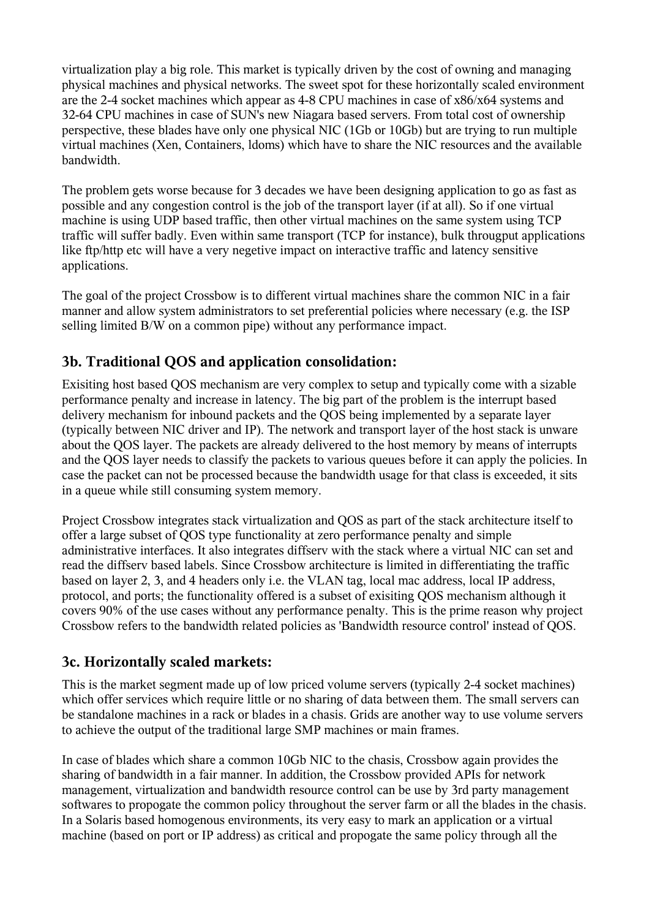virtualization play a big role. This market is typically driven by the cost of owning and managing physical machines and physical networks. The sweet spot for these horizontally scaled environment are the 2-4 socket machines which appear as 4-8 CPU machines in case of x86/x64 systems and 32-64 CPU machines in case of SUN's new Niagara based servers. From total cost of ownership perspective, these blades have only one physical NIC (1Gb or 10Gb) but are trying to run multiple virtual machines (Xen, Containers, ldoms) which have to share the NIC resources and the available bandwidth.

The problem gets worse because for 3 decades we have been designing application to go as fast as possible and any congestion control is the job of the transport layer (if at all). So if one virtual machine is using UDP based traffic, then other virtual machines on the same system using TCP traffic will suffer badly. Even within same transport (TCP for instance), bulk througput applications like ftp/http etc will have a very negetive impact on interactive traffic and latency sensitive applications.

The goal of the project Crossbow is to different virtual machines share the common NIC in a fair manner and allow system administrators to set preferential policies where necessary (e.g. the ISP selling limited B/W on a common pipe) without any performance impact.

#### **3b. Traditional QOS and application consolidation:**

Exisiting host based QOS mechanism are very complex to setup and typically come with a sizable performance penalty and increase in latency. The big part of the problem is the interrupt based delivery mechanism for inbound packets and the QOS being implemented by a separate layer (typically between NIC driver and IP). The network and transport layer of the host stack is unware about the QOS layer. The packets are already delivered to the host memory by means of interrupts and the QOS layer needs to classify the packets to various queues before it can apply the policies. In case the packet can not be processed because the bandwidth usage for that class is exceeded, it sits in a queue while still consuming system memory.

Project Crossbow integrates stack virtualization and QOS as part of the stack architecture itself to offer a large subset of QOS type functionality at zero performance penalty and simple administrative interfaces. It also integrates diffserv with the stack where a virtual NIC can set and read the diffserv based labels. Since Crossbow architecture is limited in differentiating the traffic based on layer 2, 3, and 4 headers only i.e. the VLAN tag, local mac address, local IP address, protocol, and ports; the functionality offered is a subset of exisiting QOS mechanism although it covers 90% of the use cases without any performance penalty. This is the prime reason why project Crossbow refers to the bandwidth related policies as 'Bandwidth resource control' instead of QOS.

#### **3c. Horizontally scaled markets:**

This is the market segment made up of low priced volume servers (typically 2-4 socket machines) which offer services which require little or no sharing of data between them. The small servers can be standalone machines in a rack or blades in a chasis. Grids are another way to use volume servers to achieve the output of the traditional large SMP machines or main frames.

In case of blades which share a common 10Gb NIC to the chasis, Crossbow again provides the sharing of bandwidth in a fair manner. In addition, the Crossbow provided APIs for network management, virtualization and bandwidth resource control can be use by 3rd party management softwares to propogate the common policy throughout the server farm or all the blades in the chasis. In a Solaris based homogenous environments, its very easy to mark an application or a virtual machine (based on port or IP address) as critical and propogate the same policy through all the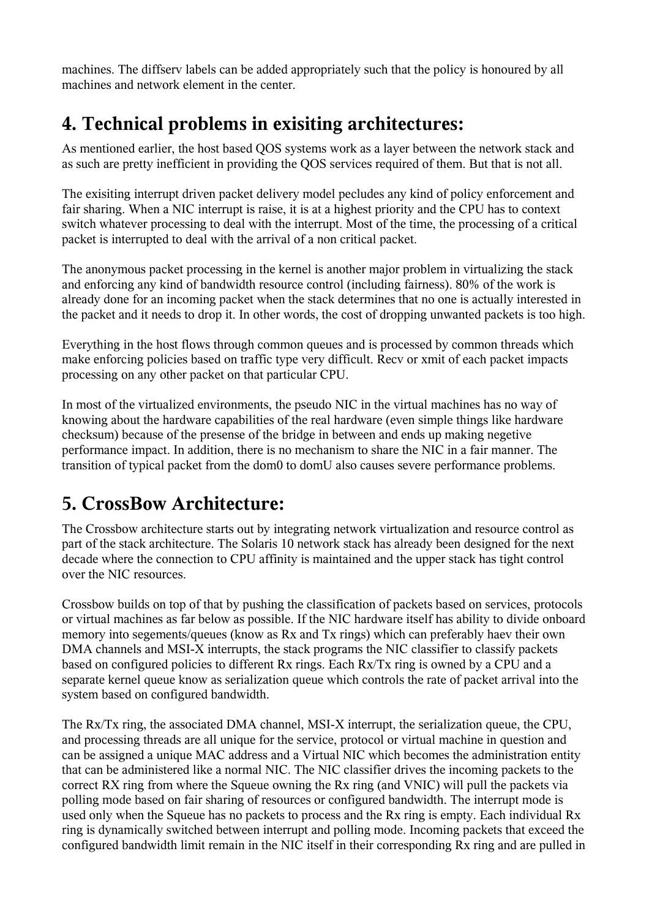machines. The diffserv labels can be added appropriately such that the policy is honoured by all machines and network element in the center.

# **4. Technical problems in exisiting architectures:**

As mentioned earlier, the host based QOS systems work as a layer between the network stack and as such are pretty inefficient in providing the QOS services required of them. But that is not all.

The exisiting interrupt driven packet delivery model pecludes any kind of policy enforcement and fair sharing. When a NIC interrupt is raise, it is at a highest priority and the CPU has to context switch whatever processing to deal with the interrupt. Most of the time, the processing of a critical packet is interrupted to deal with the arrival of a non critical packet.

The anonymous packet processing in the kernel is another major problem in virtualizing the stack and enforcing any kind of bandwidth resource control (including fairness). 80% of the work is already done for an incoming packet when the stack determines that no one is actually interested in the packet and it needs to drop it. In other words, the cost of dropping unwanted packets is too high.

Everything in the host flows through common queues and is processed by common threads which make enforcing policies based on traffic type very difficult. Recv or xmit of each packet impacts processing on any other packet on that particular CPU.

In most of the virtualized environments, the pseudo NIC in the virtual machines has no way of knowing about the hardware capabilities of the real hardware (even simple things like hardware checksum) because of the presense of the bridge in between and ends up making negetive performance impact. In addition, there is no mechanism to share the NIC in a fair manner. The transition of typical packet from the dom0 to domU also causes severe performance problems.

# **5. CrossBow Architecture:**

The Crossbow architecture starts out by integrating network virtualization and resource control as part of the stack architecture. The Solaris 10 network stack has already been designed for the next decade where the connection to CPU affinity is maintained and the upper stack has tight control over the NIC resources.

Crossbow builds on top of that by pushing the classification of packets based on services, protocols or virtual machines as far below as possible. If the NIC hardware itself has ability to divide onboard memory into segements/queues (know as Rx and Tx rings) which can preferably haev their own DMA channels and MSI-X interrupts, the stack programs the NIC classifier to classify packets based on configured policies to different Rx rings. Each Rx/Tx ring is owned by a CPU and a separate kernel queue know as serialization queue which controls the rate of packet arrival into the system based on configured bandwidth.

The Rx/Tx ring, the associated DMA channel, MSI-X interrupt, the serialization queue, the CPU, and processing threads are all unique for the service, protocol or virtual machine in question and can be assigned a unique MAC address and a Virtual NIC which becomes the administration entity that can be administered like a normal NIC. The NIC classifier drives the incoming packets to the correct RX ring from where the Squeue owning the Rx ring (and VNIC) will pull the packets via polling mode based on fair sharing of resources or configured bandwidth. The interrupt mode is used only when the Squeue has no packets to process and the Rx ring is empty. Each individual Rx ring is dynamically switched between interrupt and polling mode. Incoming packets that exceed the configured bandwidth limit remain in the NIC itself in their corresponding Rx ring and are pulled in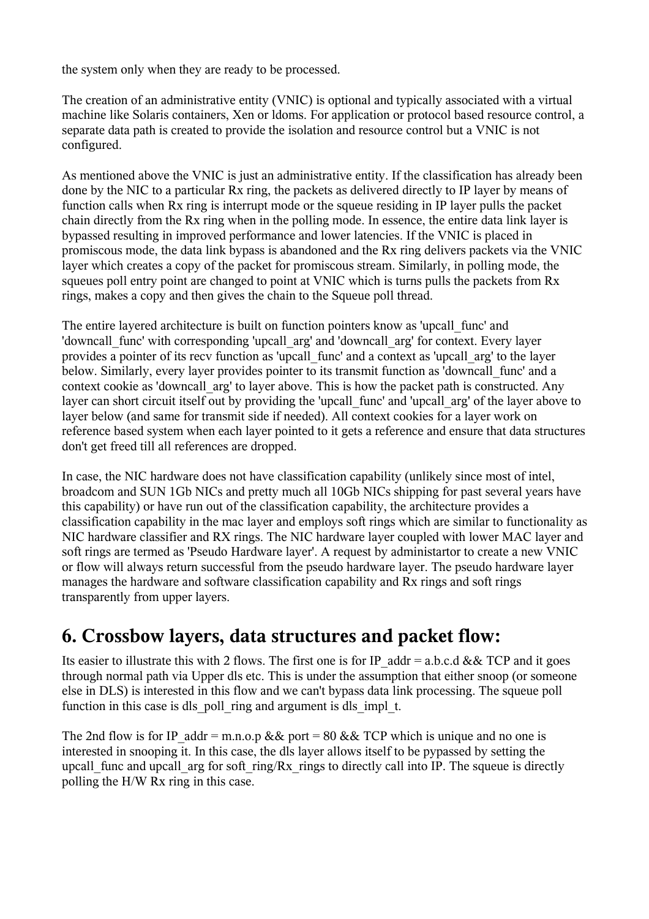the system only when they are ready to be processed.

The creation of an administrative entity (VNIC) is optional and typically associated with a virtual machine like Solaris containers, Xen or ldoms. For application or protocol based resource control, a separate data path is created to provide the isolation and resource control but a VNIC is not configured.

As mentioned above the VNIC is just an administrative entity. If the classification has already been done by the NIC to a particular Rx ring, the packets as delivered directly to IP layer by means of function calls when Rx ring is interrupt mode or the squeue residing in IP layer pulls the packet chain directly from the Rx ring when in the polling mode. In essence, the entire data link layer is bypassed resulting in improved performance and lower latencies. If the VNIC is placed in promiscous mode, the data link bypass is abandoned and the Rx ring delivers packets via the VNIC layer which creates a copy of the packet for promiscous stream. Similarly, in polling mode, the squeues poll entry point are changed to point at VNIC which is turns pulls the packets from Rx rings, makes a copy and then gives the chain to the Squeue poll thread.

The entire layered architecture is built on function pointers know as 'upcall\_func' and 'downcall\_func' with corresponding 'upcall\_arg' and 'downcall\_arg' for context. Every layer provides a pointer of its recv function as 'upcall func' and a context as 'upcall arg' to the layer below. Similarly, every layer provides pointer to its transmit function as 'downcall\_func' and a context cookie as 'downcall\_arg' to layer above. This is how the packet path is constructed. Any layer can short circuit itself out by providing the 'upcall func' and 'upcall arg' of the layer above to layer below (and same for transmit side if needed). All context cookies for a layer work on reference based system when each layer pointed to it gets a reference and ensure that data structures don't get freed till all references are dropped.

In case, the NIC hardware does not have classification capability (unlikely since most of intel, broadcom and SUN 1Gb NICs and pretty much all 10Gb NICs shipping for past several years have this capability) or have run out of the classification capability, the architecture provides a classification capability in the mac layer and employs soft rings which are similar to functionality as NIC hardware classifier and RX rings. The NIC hardware layer coupled with lower MAC layer and soft rings are termed as 'Pseudo Hardware layer'. A request by administartor to create a new VNIC or flow will always return successful from the pseudo hardware layer. The pseudo hardware layer manages the hardware and software classification capability and Rx rings and soft rings transparently from upper layers.

### **6. Crossbow layers, data structures and packet flow:**

Its easier to illustrate this with 2 flows. The first one is for IP addr = a.b.c.d && TCP and it goes through normal path via Upper dls etc. This is under the assumption that either snoop (or someone else in DLS) is interested in this flow and we can't bypass data link processing. The squeue poll function in this case is dls poll ring and argument is dls impl t.

The 2nd flow is for IP addr = m.n.o.p && port = 80 && TCP which is unique and no one is interested in snooping it. In this case, the dls layer allows itself to be pypassed by setting the upcall func and upcall arg for soft ring/Rx rings to directly call into IP. The squeue is directly polling the H/W Rx ring in this case.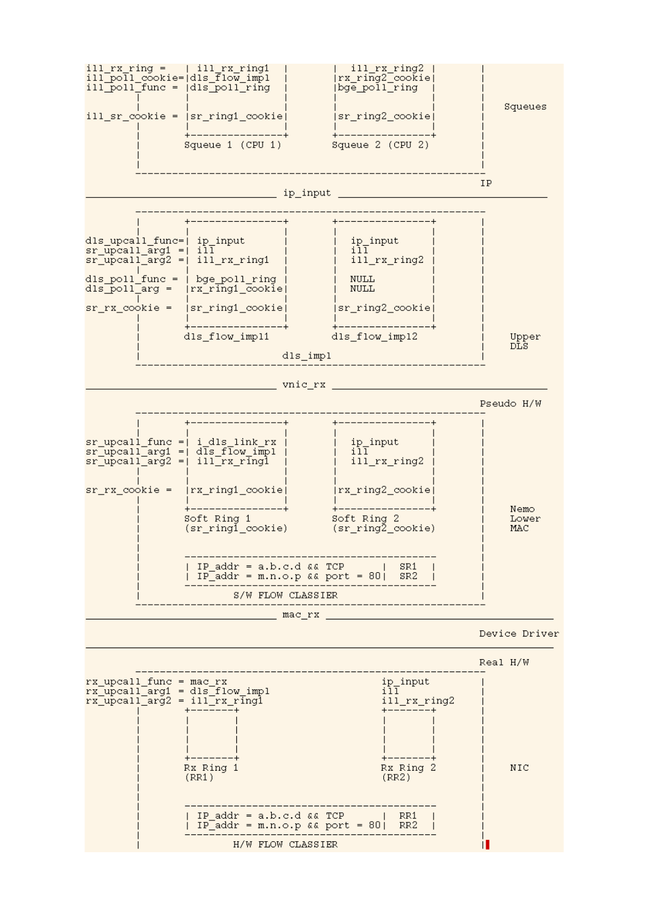

H/W FLOW CLASSIER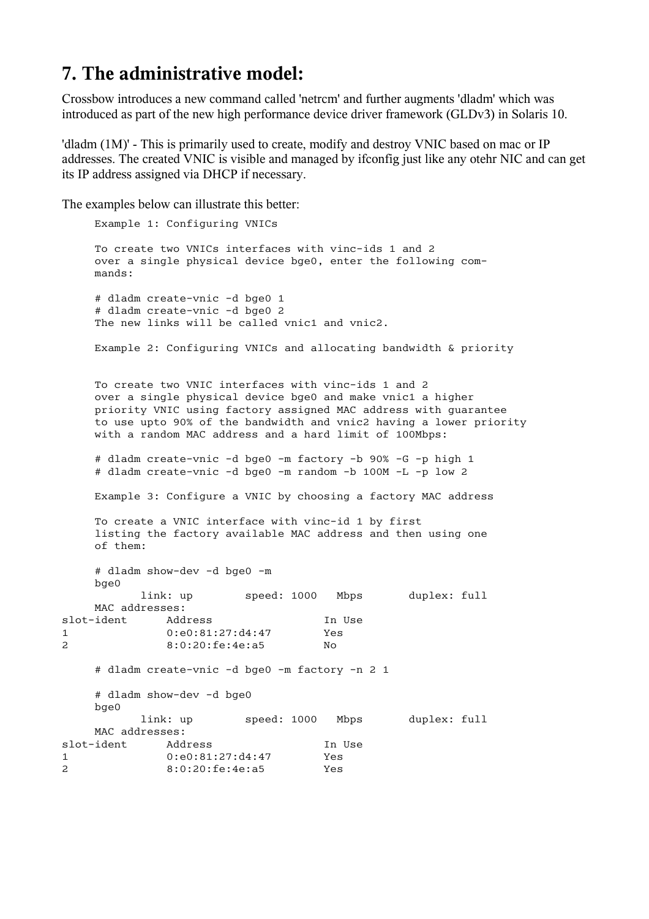#### **7. The administrative model:**

Crossbow introduces a new command called 'netrcm' and further augments 'dladm' which was introduced as part of the new high performance device driver framework (GLDv3) in Solaris 10.

'dladm (1M)' - This is primarily used to create, modify and destroy VNIC based on mac or IP addresses. The created VNIC is visible and managed by ifconfig just like any otehr NIC and can get its IP address assigned via DHCP if necessary.

The examples below can illustrate this better:

```
 Example 1: Configuring VNICs
     To create two VNICs interfaces with vinc-ids 1 and 2
     over a single physical device bge0, enter the following com-
     mands:
     # dladm create-vnic -d bge0 1
     # dladm create-vnic -d bge0 2
    The new links will be called vnic1 and vnic2.
     Example 2: Configuring VNICs and allocating bandwidth & priority
     To create two VNIC interfaces with vinc-ids 1 and 2
     over a single physical device bge0 and make vnic1 a higher
     priority VNIC using factory assigned MAC address with guarantee 
     to use upto 90% of the bandwidth and vnic2 having a lower priority 
     with a random MAC address and a hard limit of 100Mbps:
     # dladm create-vnic -d bge0 -m factory -b 90% -G -p high 1
     # dladm create-vnic -d bge0 -m random -b 100M -L -p low 2 
     Example 3: Configure a VNIC by choosing a factory MAC address
     To create a VNIC interface with vinc-id 1 by first
     listing the factory available MAC address and then using one
     of them:
     # dladm show-dev -d bge0 -m
     bge0 
            link: up speed: 1000 Mbps duplex: full
     MAC addresses:
slot-ident Address In Use<br>1 0:e0:81:27:d4:47 Yes
1 0:e0:81:27:d4:47 Yes<br>2 8:0:20:fe:4e:a5 No
2 8:0:20:fe:4e:a5
     # dladm create-vnic -d bge0 -m factory -n 2 1
     # dladm show-dev -d bge0
     bge0 
            link: up speed: 1000 Mbps duplex: full
     MAC addresses:
slot-ident Address In Use
1 0:e0:81:27:d4:47 Yes
2 8:0:20:fe:4e:a5 Yes
```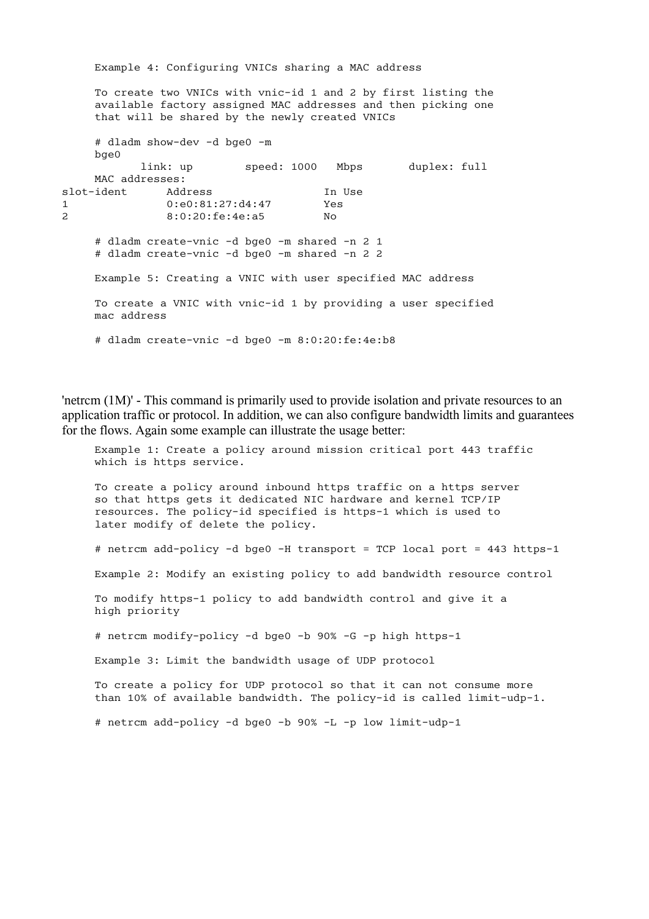Example 4: Configuring VNICs sharing a MAC address To create two VNICs with vnic-id 1 and 2 by first listing the available factory assigned MAC addresses and then picking one that will be shared by the newly created VNICs # dladm show-dev -d bge0 -m bge0 link: up speed: 1000 Mbps duplex: full MAC addresses: slot-ident Address In Use 1 0:e0:81:27:d4:47 Yes 2 8:0:20:fe:4e:a5 No # dladm create-vnic -d bge0 -m shared -n 2 1 # dladm create-vnic -d bge0 -m shared -n 2 2 Example 5: Creating a VNIC with user specified MAC address To create a VNIC with vnic-id 1 by providing a user specified mac address # dladm create-vnic -d bge0 -m 8:0:20:fe:4e:b8

'netrcm (1M)' - This command is primarily used to provide isolation and private resources to an application traffic or protocol. In addition, we can also configure bandwidth limits and guarantees for the flows. Again some example can illustrate the usage better:

 Example 1: Create a policy around mission critical port 443 traffic which is https service. To create a policy around inbound https traffic on a https server so that https gets it dedicated NIC hardware and kernel TCP/IP resources. The policy-id specified is https-1 which is used to later modify of delete the policy. # netrcm add-policy -d bge0 -H transport = TCP local port = 443 https-1 Example 2: Modify an existing policy to add bandwidth resource control To modify https-1 policy to add bandwidth control and give it a high priority # netrcm modify-policy -d bge0 -b 90% -G -p high https-1 Example 3: Limit the bandwidth usage of UDP protocol To create a policy for UDP protocol so that it can not consume more than 10% of available bandwidth. The policy-id is called limit-udp-1. # netrcm add-policy -d bge0 -b 90% -L -p low limit-udp-1